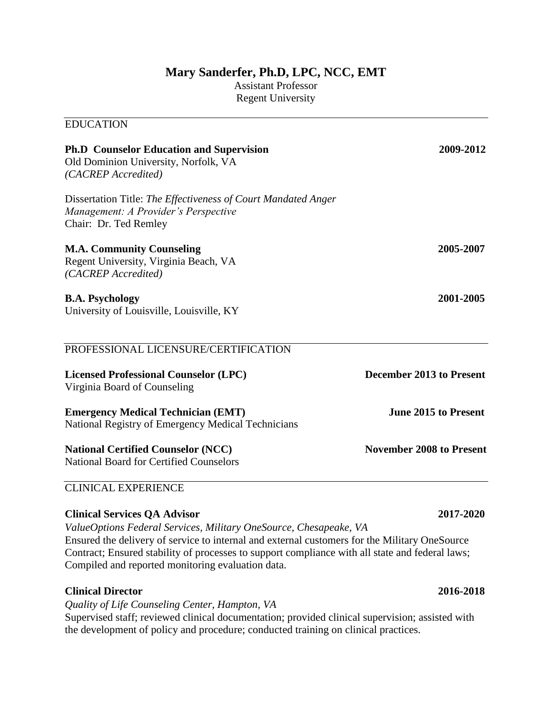## **Mary Sanderfer, Ph.D, LPC, NCC, EMT**

Assistant Professor Regent University

### EDUCATION

| <b>Ph.D</b> Counselor Education and Supervision<br>Old Dominion University, Norfolk, VA<br>(CACREP Accredited)<br>Dissertation Title: The Effectiveness of Court Mandated Anger<br>Management: A Provider's Perspective<br>Chair: Dr. Ted Remley<br><b>M.A. Community Counseling</b><br>Regent University, Virginia Beach, VA<br>(CACREP Accredited)<br><b>B.A. Psychology</b><br>University of Louisville, Louisville, KY | 2009-2012                       |                                                                              |                          |
|----------------------------------------------------------------------------------------------------------------------------------------------------------------------------------------------------------------------------------------------------------------------------------------------------------------------------------------------------------------------------------------------------------------------------|---------------------------------|------------------------------------------------------------------------------|--------------------------|
|                                                                                                                                                                                                                                                                                                                                                                                                                            | 2005-2007<br>2001-2005          |                                                                              |                          |
|                                                                                                                                                                                                                                                                                                                                                                                                                            |                                 | PROFESSIONAL LICENSURE/CERTIFICATION                                         |                          |
|                                                                                                                                                                                                                                                                                                                                                                                                                            |                                 | <b>Licensed Professional Counselor (LPC)</b><br>Virginia Board of Counseling | December 2013 to Present |
| <b>Emergency Medical Technician (EMT)</b><br>National Registry of Emergency Medical Technicians                                                                                                                                                                                                                                                                                                                            | <b>June 2015 to Present</b>     |                                                                              |                          |
| <b>National Certified Counselor (NCC)</b><br><b>National Board for Certified Counselors</b>                                                                                                                                                                                                                                                                                                                                | <b>November 2008 to Present</b> |                                                                              |                          |
| <b>CLINICAL EXPERIENCE</b>                                                                                                                                                                                                                                                                                                                                                                                                 |                                 |                                                                              |                          |

# **Clinical Services QA Advisor 2017-2020**

*ValueOptions Federal Services, Military OneSource, Chesapeake, VA*

Ensured the delivery of service to internal and external customers for the Military OneSource Contract; Ensured stability of processes to support compliance with all state and federal laws; Compiled and reported monitoring evaluation data.

### **Clinical Director 2016-2018**

*Quality of Life Counseling Center, Hampton, VA* Supervised staff; reviewed clinical documentation; provided clinical supervision; assisted with the development of policy and procedure; conducted training on clinical practices.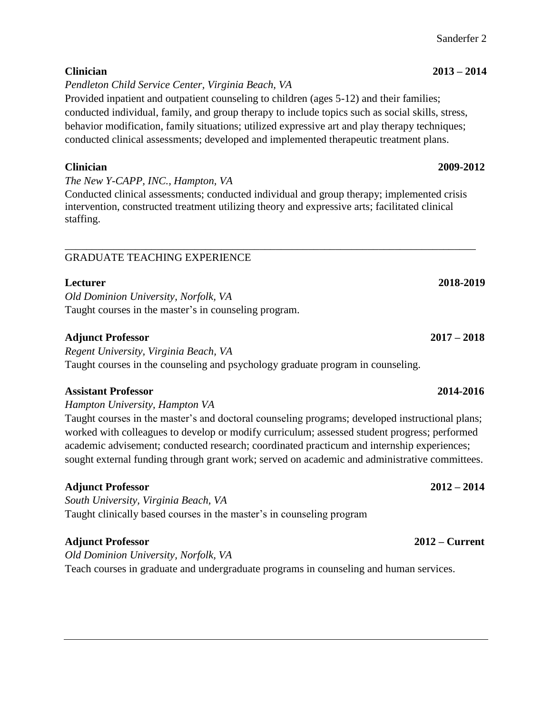## Sanderfer 2

# **Clinician 2013 – 2014**

*Pendleton Child Service Center, Virginia Beach, VA*

Provided inpatient and outpatient counseling to children (ages 5-12) and their families; conducted individual, family, and group therapy to include topics such as social skills, stress, behavior modification, family situations; utilized expressive art and play therapy techniques; conducted clinical assessments; developed and implemented therapeutic treatment plans.

*The New Y-CAPP, INC., Hampton, VA*

Conducted clinical assessments; conducted individual and group therapy; implemented crisis intervention, constructed treatment utilizing theory and expressive arts; facilitated clinical staffing.

### \_\_\_\_\_\_\_\_\_\_\_\_\_\_\_\_\_\_\_\_\_\_\_\_\_\_\_\_\_\_\_\_\_\_\_\_\_\_\_\_\_\_\_\_\_\_\_\_\_\_\_\_\_\_\_\_\_\_\_\_\_\_\_\_\_\_\_\_\_\_\_\_\_\_\_\_ GRADUATE TEACHING EXPERIENCE

*Old Dominion University, Norfolk, VA* Taught courses in the master's in counseling program.

# **Adjunct Professor 2017 – 2018**

*Regent University, Virginia Beach, VA* Taught courses in the counseling and psychology graduate program in counseling.

# **Assistant Professor 2014-2016**

*Hampton University, Hampton VA*

Taught courses in the master's and doctoral counseling programs; developed instructional plans; worked with colleagues to develop or modify curriculum; assessed student progress; performed academic advisement; conducted research; coordinated practicum and internship experiences; sought external funding through grant work; served on academic and administrative committees.

# **Adjunct Professor 2012 – 2014**

*South University, Virginia Beach, VA* Taught clinically based courses in the master's in counseling program

# **Adjunct Professor 2012 – Current**

*Old Dominion University, Norfolk, VA* Teach courses in graduate and undergraduate programs in counseling and human services.

# **Clinician 2009-2012**

**Lecturer 2018-2019**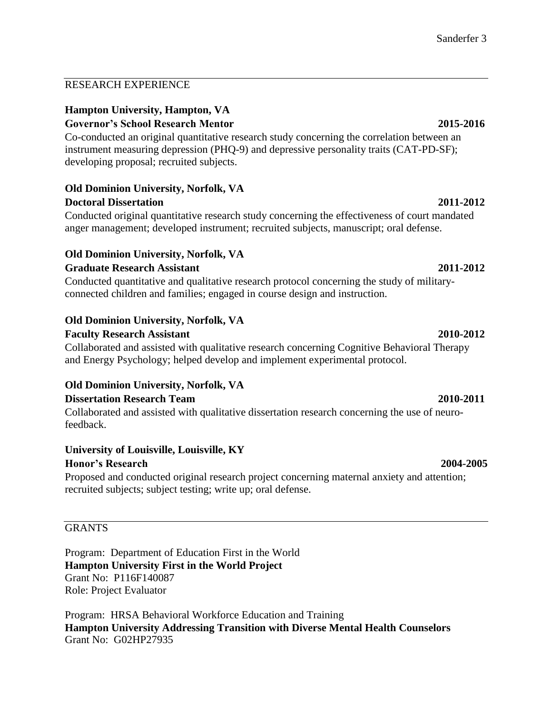### RESEARCH EXPERIENCE

### **Hampton University, Hampton, VA**

### **Governor's School Research Mentor 2015-2016**

Co-conducted an original quantitative research study concerning the correlation between an instrument measuring depression (PHQ-9) and depressive personality traits (CAT-PD-SF); developing proposal; recruited subjects.

# **Old Dominion University, Norfolk, VA**

### **Doctoral Dissertation 2011-2012**

Conducted original quantitative research study concerning the effectiveness of court mandated anger management; developed instrument; recruited subjects, manuscript; oral defense.

### **Old Dominion University, Norfolk, VA Graduate Research Assistant 2011-2012**

Conducted quantitative and qualitative research protocol concerning the study of militaryconnected children and families; engaged in course design and instruction.

### **Old Dominion University, Norfolk, VA**

### **Faculty Research Assistant 2010-2012**

Collaborated and assisted with qualitative research concerning Cognitive Behavioral Therapy and Energy Psychology; helped develop and implement experimental protocol.

### **Old Dominion University, Norfolk, VA**

### **Dissertation Research Team 2010-2011**

Collaborated and assisted with qualitative dissertation research concerning the use of neurofeedback.

### **University of Louisville, Louisville, KY**

### **Honor's Research 2004-2005**

Proposed and conducted original research project concerning maternal anxiety and attention; recruited subjects; subject testing; write up; oral defense.

### **GRANTS**

Program: Department of Education First in the World **Hampton University First in the World Project** Grant No: P116F140087 Role: Project Evaluator

Program: HRSA Behavioral Workforce Education and Training **Hampton University Addressing Transition with Diverse Mental Health Counselors** Grant No: G02HP27935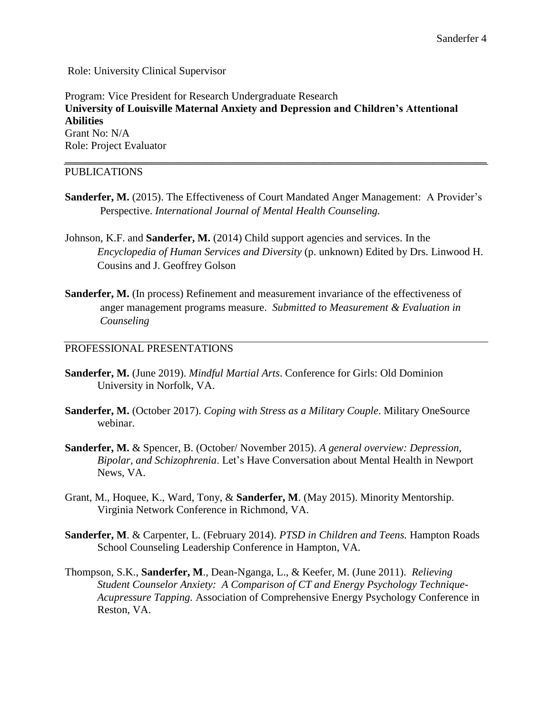Role: University Clinical Supervisor

Program: Vice President for Research Undergraduate Research **University of Louisville Maternal Anxiety and Depression and Children's Attentional Abilities** Grant No: N/A Role: Project Evaluator

### PUBLICATIONS

Sanderfer, M. (2015). The Effectiveness of Court Mandated Anger Management: A Provider's Perspective. *International Journal of Mental Health Counseling.*

**\_\_\_\_\_\_\_\_\_\_\_\_\_\_\_\_\_\_\_\_\_\_\_\_\_\_\_\_\_\_\_\_\_\_\_\_\_\_\_\_\_\_\_\_\_\_\_\_\_\_\_\_\_\_\_\_\_\_\_\_\_\_\_\_\_\_\_\_\_\_\_\_\_\_\_\_\_\_**

- Johnson, K.F. and **Sanderfer, M.** (2014) Child support agencies and services. In the *Encyclopedia of Human Services and Diversity* (p. unknown) Edited by Drs. Linwood H. Cousins and J. Geoffrey Golson
- **Sanderfer, M.** (In process) Refinement and measurement invariance of the effectiveness of anger management programs measure. *Submitted to Measurement & Evaluation in Counseling*

### PROFESSIONAL PRESENTATIONS

- **Sanderfer, M.** (June 2019). *Mindful Martial Arts*. Conference for Girls: Old Dominion University in Norfolk, VA.
- **Sanderfer, M.** (October 2017). *Coping with Stress as a Military Couple*. Military OneSource webinar.
- **Sanderfer, M.** & Spencer, B. (October/ November 2015). *A general overview: Depression, Bipolar, and Schizophrenia*. Let's Have Conversation about Mental Health in Newport News, VA.
- Grant, M., Hoquee, K., Ward, Tony, & **Sanderfer, M**. (May 2015). Minority Mentorship. Virginia Network Conference in Richmond, VA.
- **Sanderfer, M**. & Carpenter, L. (February 2014). *PTSD in Children and Teens.* Hampton Roads School Counseling Leadership Conference in Hampton, VA.
- Thompson, S.K., **Sanderfer, M**., Dean-Nganga, L., & Keefer, M. (June 2011). *Relieving Student Counselor Anxiety: A Comparison of CT and Energy Psychology Technique-Acupressure Tapping.* Association of Comprehensive Energy Psychology Conference in Reston, VA.